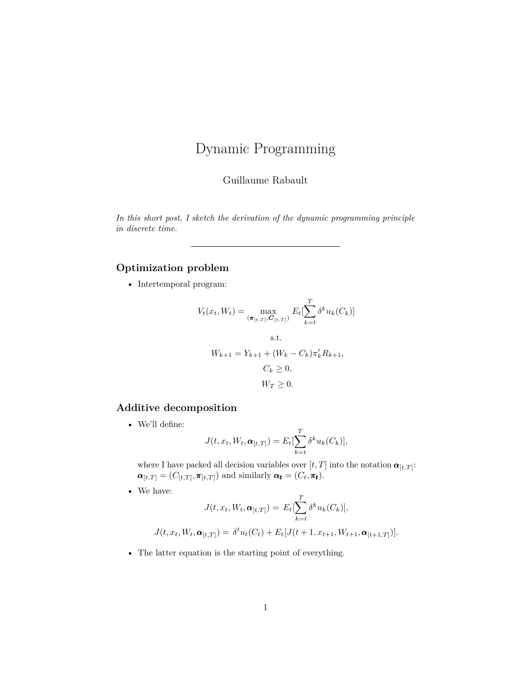# Dynamic Programming

Guillaume Rabault

*In this short post, I sketch the derivation of the dynamic programming principle in discrete time.*

### **Optimization problem**

 $\bullet~$  Intertemporal program:

$$
V_t(x_t, W_t) = \max_{(\pi_{[t,T]}, \mathcal{G}_{[t,T]})} E_t[\sum_{k=t}^T \delta^k u_k(C_k)]
$$
  
s.t.  

$$
W_{k+1} = Y_{k+1} + (W_k - C_k)\pi'_k R_{k+1},
$$

$$
C_k \ge 0,
$$

$$
W_T \ge 0.
$$

#### **Additive decomposition**

• We'll define:

$$
J(t, x_t, W_t, \boldsymbol{\alpha}_{[t,T]}) = E_t[\sum_{k=t}^T \delta^k u_k(C_k)],
$$

where I have packed all decision variables over  $[t, T]$  into the notation  $\boldsymbol{\alpha}_{[t, T]}$ :  $\boldsymbol{\alpha}_{[t,T]} = (C_{[t,T]}, \boldsymbol{\pi}_{[t,T]})$  and similarly  $\boldsymbol{\alpha_t} = (C_t, \boldsymbol{\pi_t})$ .

• We have:

$$
J(t, x_t, W_t, \boldsymbol{\alpha}_{[t,T]}) = E_t[\sum_{k=t}^T \delta^k u_k(C_k)],
$$
  

$$
J(t, x_t, W_t, \boldsymbol{\alpha}_{[t,T]}) = \delta^t u_t(C_t) + E_t[J(t+1, x_{t+1}, W_{t+1}, \boldsymbol{\alpha}_{[t+1,T]})].
$$

• The latter equation is the starting point of everything.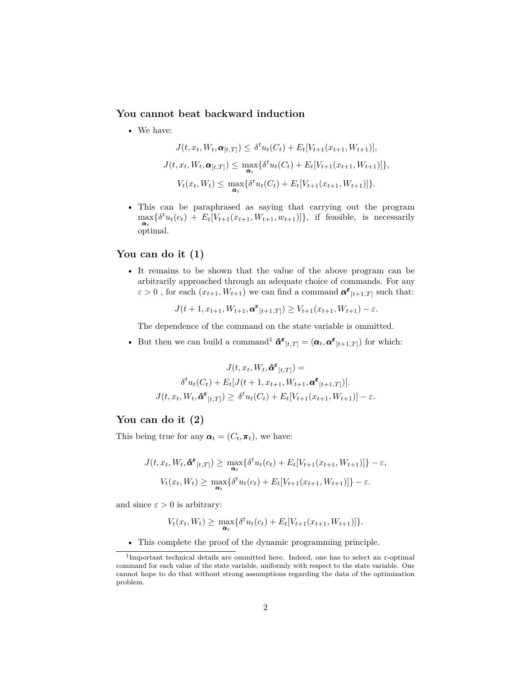#### **You cannot beat backward induction**

• We have:

$$
J(t, x_t, W_t, \alpha_{[t,T]}) \leq \delta^t u_t(C_t) + E_t[V_{t+1}(x_{t+1}, W_{t+1})],
$$
  

$$
J(t, x_t, W_t, \alpha_{[t,T]}) \leq \max_{\alpha_t} \{ \delta^t u_t(C_t) + E_t[V_{t+1}(x_{t+1}, W_{t+1})] \},
$$
  

$$
V_t(x_t, W_t) \leq \max_{\alpha_t} \{ \delta^t u_t(C_t) + E_t[V_{t+1}(x_{t+1}, W_{t+1})] \}.
$$

• This can be paraphrased as saying that carrying out the program  $\max_{\mathbf{a}_t} {\delta^t u_t(c_t) + E_t[V_{t+1}(x_{t+1}, W_{t+1}, w_{t+1})]}$ , if feasible, is necessarily optimal.

#### **You can do it (1)**

• It remains to be shown that the value of the above program can be arbitrarily approached through an adequate choice of commands. For any  $\varepsilon > 0$ , for each  $(x_{t+1}, W_{t+1})$  we can find a command  $\alpha^{\varepsilon}{}_{[t+1,T]}$  such that:

 $J(t+1, x_{t+1}, W_{t+1}, \mathbf{\alpha}^{\varepsilon}_{[t+1,T]}) \geq V_{t+1}(x_{t+1}, W_{t+1}) - \varepsilon.$ 

The dependence of the command on the state variable is ommitted.

• But then we can build a command<sup>[1](#page-1-0)</sup>  $\hat{\alpha}^{\epsilon}_{[t,T]} = (\alpha_t, \alpha^{\epsilon}_{[t+1,T]})$  for which:

$$
J(t, x_t, W_t, \hat{\pmb{\alpha}}^{\pmb{\varepsilon}}_{[t,T]}) =
$$

$$
\delta^t u_t(C_t) + E_t[J(t+1, x_{t+1}, W_{t+1}, \pmb{\alpha}^{\pmb{\varepsilon}}_{[t+1,T]})].
$$

$$
J(t, x_t, W_t, \hat{\pmb{\alpha}}^{\pmb{\varepsilon}}_{[t,T]}) \geq \delta^t u_t(C_t) + E_t[V_{t+1}(x_{t+1}, W_{t+1})] - \varepsilon.
$$

#### **You can do it (2)**

This being true for any  $\boldsymbol{\alpha}_t = (C_t, \boldsymbol{\pi}_t)$ , we have:

$$
J(t, x_t, W_t, \hat{\pmb{\alpha}}^{\pmb{\varepsilon}}_{[t,T]}) \geq \max_{\pmb{\alpha}_t} \{ \delta^t u_t(c_t) + E_t[V_{t+1}(x_{t+1}, W_{t+1})] \} - \varepsilon,
$$
  

$$
V_t(x_t, W_t) \geq \max_{\pmb{\alpha}_t} \{ \delta^t u_t(c_t) + E_t[V_{t+1}(x_{t+1}, W_{t+1})] \} - \varepsilon.
$$

and since  $\varepsilon > 0$  is arbitrary:

$$
V_t(x_t, W_t) \geq \max_{\alpha_t} \{ \delta^t u_t(c_t) + E_t[V_{t+1}(x_{t+1}, W_{t+1})] \}.
$$

<span id="page-1-0"></span>• This complete the proof of the dynamic programming principle.

<sup>1</sup> Important technical details are ommitted here. Indeed, one has to select an *ε*-optimal command for each value of the state variable, uniformly with respect to the state variable. One cannot hope to do that without strong assumptions regarding the data of the optimization problem.